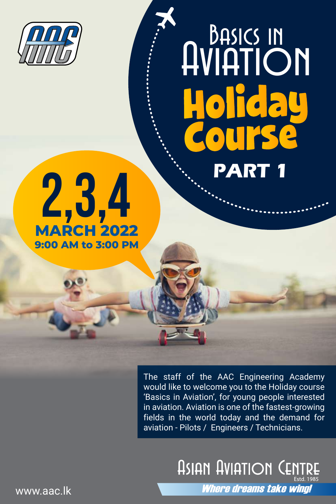

## **PART 1 Aviation<br>Aviation<br>Holiday<br>Course**



The staff of the AAC Engineering Academy would like to welcome you to the Holiday course 'Basics in Aviation', for young people interested in aviation. Aviation is one of the fastest-growing fields in the world today and the demand for aviation - Pilots / Engineers / Technicians.

> **ASIAN AVIATION CE** Where dreams take wind!

www.aac.lk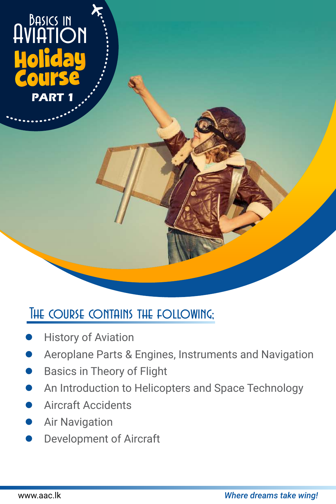

## THE COURSE CONTAINS THE FOLLOWING;

- History of Aviation
- Aeroplane Parts & Engines, Instruments and Navigation
- Basics in Theory of Flight
- An Introduction to Helicopters and Space Technology
- Aircraft Accidents
- Air Navigation
- Development of Aircraft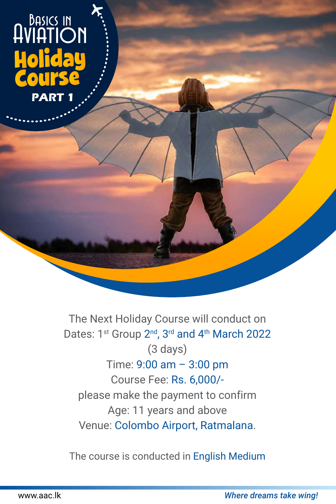## **PART 1** Basics in

The Next Holiday Course will conduct on Dates: 1<sup>st</sup> Group 2<sup>nd</sup>, 3<sup>rd</sup> and 4<sup>th</sup> March 2022 (3 days) Time: 9:00 am – 3:00 pm Course Fee: Rs. 6,000/ please make the payment to confirm Age: 11 years and above Venue: Colombo Airport, Ratmalana.

The course is conducted in English Medium